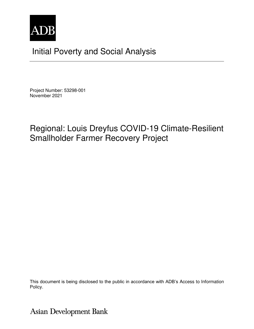

# Initial Poverty and Social Analysis

Project Number: 53298-001 November 2021

## Regional: Louis Dreyfus COVID-19 Climate-Resilient Smallholder Farmer Recovery Project

This document is being disclosed to the public in accordance with ADB's Access to Information Policy.

**Asian Development Bank**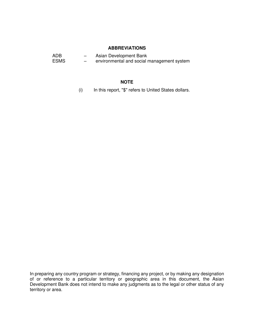#### **ABBREVIATIONS**

| ADB         | $\overline{\phantom{0}}$ | Asian Development Bank                     |
|-------------|--------------------------|--------------------------------------------|
| <b>ESMS</b> | $\overline{\phantom{0}}$ | environmental and social management system |

#### **NOTE**

(i) In this report, "\$" refers to United States dollars.

In preparing any country program or strategy, financing any project, or by making any designation of or reference to a particular territory or geographic area in this document, the Asian Development Bank does not intend to make any judgments as to the legal or other status of any territory or area.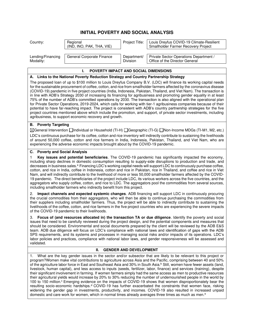### **INITIAL POVERTY AND SOCIAL ANALYSIS**

| Country:                                                                                                                                                                                                                                                                                                                                                                                                                                                                                                                                                                                                                                                                                                                                                                                                                                                                                                                                                                                                                                                                                                                                                                                                                                                        | Regional<br>(IND, INO, PAK, THA, VIE)      | Project Title:          | Louis Dreyfus COVID-19 Climate-Resilient<br>Smallholder Farmer Recovery Project |  |  |
|-----------------------------------------------------------------------------------------------------------------------------------------------------------------------------------------------------------------------------------------------------------------------------------------------------------------------------------------------------------------------------------------------------------------------------------------------------------------------------------------------------------------------------------------------------------------------------------------------------------------------------------------------------------------------------------------------------------------------------------------------------------------------------------------------------------------------------------------------------------------------------------------------------------------------------------------------------------------------------------------------------------------------------------------------------------------------------------------------------------------------------------------------------------------------------------------------------------------------------------------------------------------|--------------------------------------------|-------------------------|---------------------------------------------------------------------------------|--|--|
| Lending/Financing<br>Modality:                                                                                                                                                                                                                                                                                                                                                                                                                                                                                                                                                                                                                                                                                                                                                                                                                                                                                                                                                                                                                                                                                                                                                                                                                                  | General Corporate Finance                  | Department/<br>Division | Private Sector Operations Department /<br>Office of the Director General        |  |  |
|                                                                                                                                                                                                                                                                                                                                                                                                                                                                                                                                                                                                                                                                                                                                                                                                                                                                                                                                                                                                                                                                                                                                                                                                                                                                 | POVERTY IMPACT AND SOCIAL DIMENSIONS<br>L. |                         |                                                                                 |  |  |
| A. Links to the National Poverty Reduction Strategy and Country Partnership Strategy                                                                                                                                                                                                                                                                                                                                                                                                                                                                                                                                                                                                                                                                                                                                                                                                                                                                                                                                                                                                                                                                                                                                                                            |                                            |                         |                                                                                 |  |  |
| The proposed loan of up to \$100 million to Louis Dreyfus Company B.V. (LDC) will finance its working capital needs<br>for the sustainable procurement of coffee, cotton, and rice from smallholder farmers affected by the coronavirus disease<br>(COVID-19) pandemic in five project countries (India, Indonesia, Pakistan, Thailand, and Viet Nam). The transaction is<br>in line with ADB's Strategy 2030 of increasing its financing for agribusiness and promoting gender equality in at least<br>75% of the number of ADB's committed operations by 2030. The transaction is also aligned with the operational plan<br>for Private Sector Operations, 2019-2024, which calls for working with tier-1 agribusiness companies because of their<br>potential to have far-reaching impact. The project is consistent with ADB's country partnership strategies for the five<br>project countries mentioned above which include the promotion, and support, of private sector investments, including<br>agribusiness, to support economic recovery and growth.                                                                                                                                                                                                |                                            |                         |                                                                                 |  |  |
| <b>B.</b> Poverty Targeting                                                                                                                                                                                                                                                                                                                                                                                                                                                                                                                                                                                                                                                                                                                                                                                                                                                                                                                                                                                                                                                                                                                                                                                                                                     |                                            |                         |                                                                                 |  |  |
| ⊠General Intervention Individual or Household (TI-H) I Geographic (TI-G) I Non-Income MDGs (TI-M1, M2, etc.)<br>LDC's continuous purchase for its coffee, cotton and rice inventory will indirectly contribute to sustaining the livelihoods<br>of around 50,000 coffee, cotton and rice farmers in India, Indonesia, Pakistan, Thailand, and Viet Nam, who are<br>experiencing the adverse economic impacts brought about by the COVID-19 pandemic.                                                                                                                                                                                                                                                                                                                                                                                                                                                                                                                                                                                                                                                                                                                                                                                                            |                                            |                         |                                                                                 |  |  |
| C. Poverty and Social Analysis                                                                                                                                                                                                                                                                                                                                                                                                                                                                                                                                                                                                                                                                                                                                                                                                                                                                                                                                                                                                                                                                                                                                                                                                                                  |                                            |                         |                                                                                 |  |  |
| Key issues and potential beneficiaries. The COVID-19 pandemic has significantly impacted the economy,<br>1<br>including sharp declines in domestic consumption resulting to supply-side disruptions to production and trade, and<br>decreases in business sales. <sup>a</sup> Financing LDC's working capital needs will support LDC to continuously purchase coffee,<br>cotton, and rice in India, coffee in Indonesia, cotton and rice in Pakistan, rice in Thailand, and coffee and rice in Viet<br>Nam, and will indirectly contribute to the livelihood of more or less 50,000 smallholder farmers affected by the COVID-<br>19 pandemic. The direct beneficiaries of the project include LDC, its various workers across the five countries, and the<br>aggregators who supply coffee, cotton, and rice to LDC. The aggregators pool the commodities from several sources,<br>including smallholder farmers who indirectly benefit from this project.                                                                                                                                                                                                                                                                                                     |                                            |                         |                                                                                 |  |  |
| Impact channels and expected systemic changes. ADB financing will support LDC in continuously procuring<br>2.<br>the crucial commodities from their aggregators, who will then be able to continue purchasing the commodities from<br>their suppliers including smallholder farmers. Thus, the project will be able to indirectly contribute to sustaining the<br>livelihoods of the coffee, cotton, and rice farmers in the five project countries who are experiencing the severe impacts<br>of the COVID-19 pandemic to their livelihoods.                                                                                                                                                                                                                                                                                                                                                                                                                                                                                                                                                                                                                                                                                                                   |                                            |                         |                                                                                 |  |  |
| Focus of (and resources allocated in) the transaction TA or due diligence. Identify the poverty and social<br>З.<br>issues that need to be carefully reviewed during the project design, and the potential components and measures that<br>should be considered. Environmental and social documents prepared by the client will be reviewed by the ADB E&S<br>team. ADB due diligence will focus on LDC's compliance with national laws and identification of gaps with the ADB<br>SPS requirements, and its systems and processes in managing social risks and/or impacts of its operations. LDC's<br>labor policies and practices, compliance with national labor laws, and gender responsiveness will be assessed and<br>validated.                                                                                                                                                                                                                                                                                                                                                                                                                                                                                                                          |                                            |                         |                                                                                 |  |  |
| Н.<br><b>GENDER AND DEVELOPMENT</b>                                                                                                                                                                                                                                                                                                                                                                                                                                                                                                                                                                                                                                                                                                                                                                                                                                                                                                                                                                                                                                                                                                                                                                                                                             |                                            |                         |                                                                                 |  |  |
| What are the key gender issues in the sector and/or subsector that are likely to be relevant to this project or<br>1.<br>program? Women make vital contributions to agriculture across Asia and the Pacific, comprising between 40 and 50%<br>of the agriculture labor force in East and Southeast Asia and 30% in South Asia. <sup>b</sup> Still, women have fewer assets (land,<br>livestock, human capital), and less access to inputs (seeds, fertilizer, labor, finance) and services (training), despite<br>their significant involvement in farming. If women farmers simply had the same access as men to productive resources<br>their agricultural yields would increase by 20% to 30% reducing the number of undernourished people in the world by<br>100 to 150 million. <sup>c</sup> Emerging evidence on the impacts of COVID-19 shows that women disproportionately bear the<br>resulting socio-economic hardships. <sup>d</sup> COVID-19 has further exacerbated the constraints that women face, risking<br>widening the gender gap in investments, productivity, and incomes. COVID-19 also resulted in increased unpaid<br>domestic and care work for women, which in normal times already averages three times as much as men. <sup>e</sup> |                                            |                         |                                                                                 |  |  |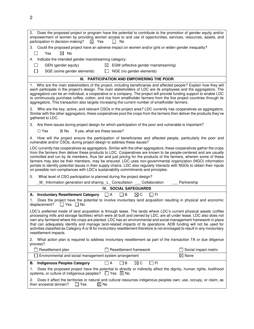| 2.<br>Does the proposed project or program have the potential to contribute to the promotion of gender equity and/or<br>empowerment of women by providing women access to and use of opportunities, services, resources, assets, and<br>participation in decision-making?<br>$\boxtimes$ Yes<br>No<br>$\perp$                                                                                                                                                                                                                                                                                                                                                                                         |  |  |  |  |  |
|-------------------------------------------------------------------------------------------------------------------------------------------------------------------------------------------------------------------------------------------------------------------------------------------------------------------------------------------------------------------------------------------------------------------------------------------------------------------------------------------------------------------------------------------------------------------------------------------------------------------------------------------------------------------------------------------------------|--|--|--|--|--|
| Could the proposed project have an adverse impact on women and/or girls or widen gender inequality?<br>З.                                                                                                                                                                                                                                                                                                                                                                                                                                                                                                                                                                                             |  |  |  |  |  |
| Yes<br>$\bowtie$ No                                                                                                                                                                                                                                                                                                                                                                                                                                                                                                                                                                                                                                                                                   |  |  |  |  |  |
| Indicate the intended gender mainstreaming category:<br>4.                                                                                                                                                                                                                                                                                                                                                                                                                                                                                                                                                                                                                                            |  |  |  |  |  |
| GEN (gender equity)<br>$\boxtimes$ EGM (effective gender mainstreaming)                                                                                                                                                                                                                                                                                                                                                                                                                                                                                                                                                                                                                               |  |  |  |  |  |
| SGE (some gender elements)<br>NGE (no gender elements)                                                                                                                                                                                                                                                                                                                                                                                                                                                                                                                                                                                                                                                |  |  |  |  |  |
| III. PARTICIPATION AND EMPOWERING THE POOR                                                                                                                                                                                                                                                                                                                                                                                                                                                                                                                                                                                                                                                            |  |  |  |  |  |
| 1. Who are the main stakeholders of the project, including beneficiaries and affected people? Explain how they will<br>each participate in the project's design. The main stakeholders of LDC are its employees and the aggregators. The<br>aggregators can be an individual, a cooperative or a company. The project will provide funding support to enable LDC<br>to continuously purchase coffee, cotton, and rice from smallholder farmers from the five project countries through its<br>aggregators. This transaction also targets increasing the current number of smallholder farmers.                                                                                                        |  |  |  |  |  |
| Who are the key, active, and relevant CSOs in the project area? LDC currently has cooperatives as aggregators.<br>2.<br>Similar with the other aggregators, these cooperatives pool the crops from the farmers then deliver the products they've<br>gathered to LDC.                                                                                                                                                                                                                                                                                                                                                                                                                                  |  |  |  |  |  |
| Are there issues during project design for which participation of the poor and vulnerable is important?<br>З.                                                                                                                                                                                                                                                                                                                                                                                                                                                                                                                                                                                         |  |  |  |  |  |
| $\Box$ Yes<br>If yes, what are these issues?<br>⊠ No                                                                                                                                                                                                                                                                                                                                                                                                                                                                                                                                                                                                                                                  |  |  |  |  |  |
| How will the project ensure the participation of beneficiaries and affected people, particularly the poor and<br>4.<br>vulnerable and/or CSOs, during project design to address these issues?                                                                                                                                                                                                                                                                                                                                                                                                                                                                                                         |  |  |  |  |  |
| LDC currently has cooperatives as aggregators. Similar with the other aggregators, these cooperatives gather the crops<br>from the farmers then deliver these products to LDC. Cooperatives are known to be people-centered and are usually<br>controlled and run by its members, thus fair and just pricing for the products of the farmers, wherein some of these<br>farmers may also be their members, may be ensured. LDC uses non-governmental organization (NGO) information<br>portals to identify potential issues in their supply chains. LDC also regularly interacts with NGOs to obtain their inputs<br>on possible non-compliances with LDC's sustainability commitments and principles. |  |  |  |  |  |
| What level of CSO participation is planned during the project design?<br>5.                                                                                                                                                                                                                                                                                                                                                                                                                                                                                                                                                                                                                           |  |  |  |  |  |
| _M_ Information generation and sharing _L_ Consultation ___ Collaboration<br>Partnership                                                                                                                                                                                                                                                                                                                                                                                                                                                                                                                                                                                                              |  |  |  |  |  |
| IV. SOCIAL SAFEGUARDS                                                                                                                                                                                                                                                                                                                                                                                                                                                                                                                                                                                                                                                                                 |  |  |  |  |  |
| A. Involuntary Resettlement Category<br>$\Box$ A<br>Пв<br>$\boxtimes$ C<br>∏ FI                                                                                                                                                                                                                                                                                                                                                                                                                                                                                                                                                                                                                       |  |  |  |  |  |
| Does the project have the potential to involve involuntary land acquisition resulting in physical and economic<br>1.<br>displacement? $\Box$ Yes $\Box$ No                                                                                                                                                                                                                                                                                                                                                                                                                                                                                                                                            |  |  |  |  |  |
| LDC's preferred mode of land acquisition is through lease. The lands where LDC's current physical assets (coffee<br>processing mills and storage facilities) which were all built and owned by LDC, are all under lease. LDC also does not<br>own any farmland where the crops are planted. LDC has an environmental and social management framework in place<br>that can adequately identify and manage land-related impacts of its operations. ADB funding will not be used for<br>activities classified as Category A or B for involuntary resettlement therefore is not envisaged to result in any involuntary<br>resettlement impacts.                                                           |  |  |  |  |  |
| What action plan is required to address involuntary resettlement as part of the transaction TA or due diligence<br>2.<br>process?                                                                                                                                                                                                                                                                                                                                                                                                                                                                                                                                                                     |  |  |  |  |  |
| Resettlement plan<br>Resettlement framework<br>Social impact matrix                                                                                                                                                                                                                                                                                                                                                                                                                                                                                                                                                                                                                                   |  |  |  |  |  |
| $\boxtimes$ None<br>Environmental and social management system arrangement                                                                                                                                                                                                                                                                                                                                                                                                                                                                                                                                                                                                                            |  |  |  |  |  |
| $\Box$ FI<br>$\Box$ A<br>$\Box$ B<br>$\boxtimes$ C<br><b>B.</b> Indigenous Peoples Category                                                                                                                                                                                                                                                                                                                                                                                                                                                                                                                                                                                                           |  |  |  |  |  |
| Does the proposed project have the potential to directly or indirectly affect the dignity, human rights, livelihood<br>1.<br>systems, or culture of indigenous peoples? $\Box$ Yes $\boxtimes$ No                                                                                                                                                                                                                                                                                                                                                                                                                                                                                                     |  |  |  |  |  |
| Does it affect the territories or natural and cultural resources indigenous peoples own, use, occupy, or claim, as<br>2.<br>their ancestral domain?<br>$\Box$ Yes<br>$\boxtimes$ No                                                                                                                                                                                                                                                                                                                                                                                                                                                                                                                   |  |  |  |  |  |